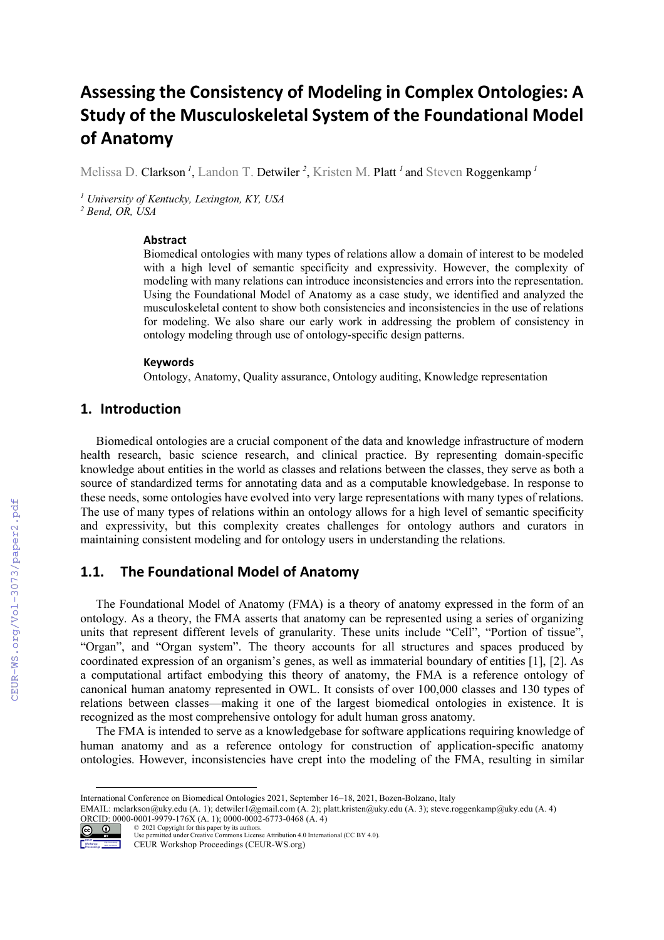# **Assessing the Consistency of Modeling in Complex Ontologies: A Study of the Musculoskeletal System of the Foundational Model of Anatomy**

Melissa D. Clarkson<sup>1</sup>, Landon T. Detwiler<sup>2</sup>, Kristen M. Platt<sup>1</sup> and Steven Roggenkamp<sup>1</sup>

*<sup>1</sup> University of Kentucky, Lexington, KY, USA*

*<sup>2</sup> Bend, OR, USA*

#### **Abstract**

Biomedical ontologies with many types of relations allow a domain of interest to be modeled with a high level of semantic specificity and expressivity. However, the complexity of modeling with many relations can introduce inconsistencies and errors into the representation. Using the Foundational Model of Anatomy as a case study, we identified and analyzed the musculoskeletal content to show both consistencies and inconsistencies in the use of relations for modeling. We also share our early work in addressing the problem of consistency in ontology modeling through use of ontology-specific design patterns.

#### **Keywords**

Ontology, Anatomy, Quality assurance, Ontology auditing, Knowledge representation

## **1. Introduction**

Biomedical ontologies are a crucial component of the data and knowledge infrastructure of modern health research, basic science research, and clinical practice. By representing domain-specific knowledge about entities in the world as classes and relations between the classes, they serve as both a source of standardized terms for annotating data and as a computable knowledgebase. In response to these needs, some ontologies have evolved into very large representations with many types of relations. The use of many types of relations within an ontology allows for a high level of semantic specificity and expressivity, but this complexity creates challenges for ontology authors and curators in maintaining consistent modeling and for ontology users in understanding the relations.

## **1.1. The Foundational Model of Anatomy**

The Foundational Model of Anatomy (FMA) is a theory of anatomy expressed in the form of an ontology. As a theory, the FMA asserts that anatomy can be represented using a series of organizing units that represent different levels of granularity. These units include "Cell", "Portion of tissue", "Organ", and "Organ system". The theory accounts for all structures and spaces produced by coordinated expression of an organism's genes, as well as immaterial boundary of entities [1], [2]. As a computational artifact embodying this theory of anatomy, the FMA is a reference ontology of canonical human anatomy represented in OWL. It consists of over 100,000 classes and 130 types of relations between classes—making it one of the largest biomedical ontologies in existence. It is recognized as the most comprehensive ontology for adult human gross anatomy.

The FMA is intended to serve as a knowledgebase for software applications requiring knowledge of human anatomy and as a reference ontology for construction of application-specific anatomy ontologies. However, inconsistencies have crept into the modeling of the FMA, resulting in similar

EMAIL: mclarkson@uky.edu (A. 1); detwiler1@gmail.com (A. 2); platt.kristen@uky.edu (A. 3); steve.roggenkamp@uky.edu (A. 4) ORCID: 0000-0001-9979-176X (A. 1); 0000-0002-6773-0468 (A. 4)



<sup>©</sup> 2021 Copyright for this paper by its authors. Use permitted under Creative Commons License Attribution 4.0 International (CC BY 4.0).

CEUR Workshop Proceedings (CEUR-WS.org)

International Conference on Biomedical Ontologies 2021, September 16–18, 2021, Bozen-Bolzano, Italy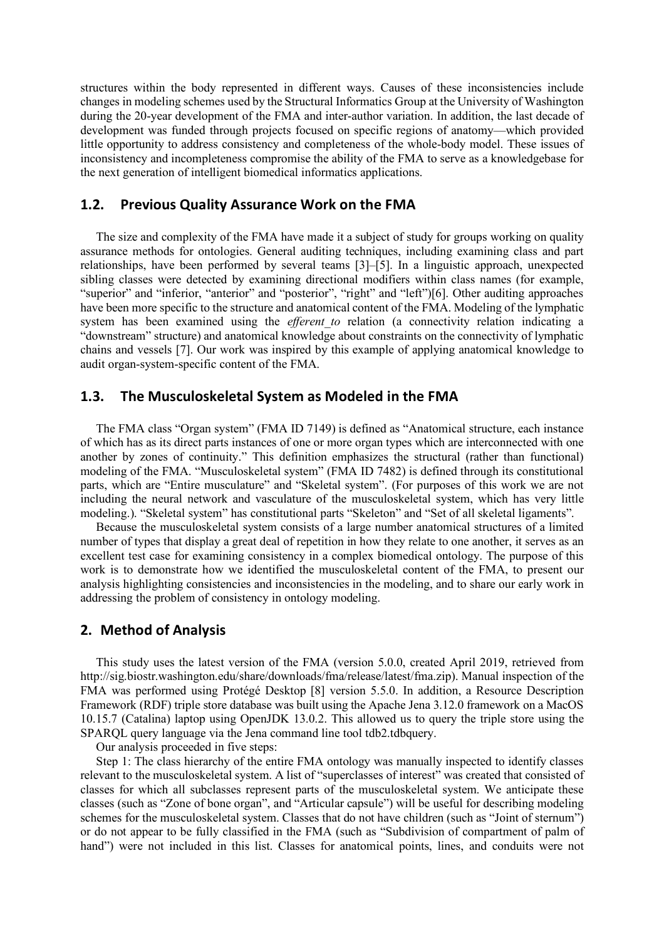structures within the body represented in different ways. Causes of these inconsistencies include changes in modeling schemes used by the Structural Informatics Group at the University of Washington during the 20-year development of the FMA and inter-author variation. In addition, the last decade of development was funded through projects focused on specific regions of anatomy—which provided little opportunity to address consistency and completeness of the whole-body model. These issues of inconsistency and incompleteness compromise the ability of the FMA to serve as a knowledgebase for the next generation of intelligent biomedical informatics applications.

## **1.2. Previous Quality Assurance Work on the FMA**

The size and complexity of the FMA have made it a subject of study for groups working on quality assurance methods for ontologies. General auditing techniques, including examining class and part relationships, have been performed by several teams [3]–[5]. In a linguistic approach, unexpected sibling classes were detected by examining directional modifiers within class names (for example, "superior" and "inferior, "anterior" and "posterior", "right" and "left")[6]. Other auditing approaches have been more specific to the structure and anatomical content of the FMA. Modeling of the lymphatic system has been examined using the *efferent to* relation (a connectivity relation indicating a "downstream" structure) and anatomical knowledge about constraints on the connectivity of lymphatic chains and vessels [7]. Our work was inspired by this example of applying anatomical knowledge to audit organ-system-specific content of the FMA.

## **1.3. The Musculoskeletal System as Modeled in the FMA**

The FMA class "Organ system" (FMA ID 7149) is defined as "Anatomical structure, each instance of which has as its direct parts instances of one or more organ types which are interconnected with one another by zones of continuity." This definition emphasizes the structural (rather than functional) modeling of the FMA. "Musculoskeletal system" (FMA ID 7482) is defined through its constitutional parts, which are "Entire musculature" and "Skeletal system". (For purposes of this work we are not including the neural network and vasculature of the musculoskeletal system, which has very little modeling.). "Skeletal system" has constitutional parts "Skeleton" and "Set of all skeletal ligaments".

Because the musculoskeletal system consists of a large number anatomical structures of a limited number of types that display a great deal of repetition in how they relate to one another, it serves as an excellent test case for examining consistency in a complex biomedical ontology. The purpose of this work is to demonstrate how we identified the musculoskeletal content of the FMA, to present our analysis highlighting consistencies and inconsistencies in the modeling, and to share our early work in addressing the problem of consistency in ontology modeling.

## **2. Method of Analysis**

This study uses the latest version of the FMA (version 5.0.0, created April 2019, retrieved from http://sig.biostr.washington.edu/share/downloads/fma/release/latest/fma.zip). Manual inspection of the FMA was performed using Protégé Desktop [8] version 5.5.0. In addition, a Resource Description Framework (RDF) triple store database was built using the Apache Jena 3.12.0 framework on a MacOS 10.15.7 (Catalina) laptop using OpenJDK 13.0.2. This allowed us to query the triple store using the SPARQL query language via the Jena command line tool tdb2.tdbquery.

Our analysis proceeded in five steps:

Step 1: The class hierarchy of the entire FMA ontology was manually inspected to identify classes relevant to the musculoskeletal system. A list of "superclasses of interest" was created that consisted of classes for which all subclasses represent parts of the musculoskeletal system. We anticipate these classes (such as "Zone of bone organ", and "Articular capsule") will be useful for describing modeling schemes for the musculoskeletal system. Classes that do not have children (such as "Joint of sternum") or do not appear to be fully classified in the FMA (such as "Subdivision of compartment of palm of hand") were not included in this list. Classes for anatomical points, lines, and conduits were not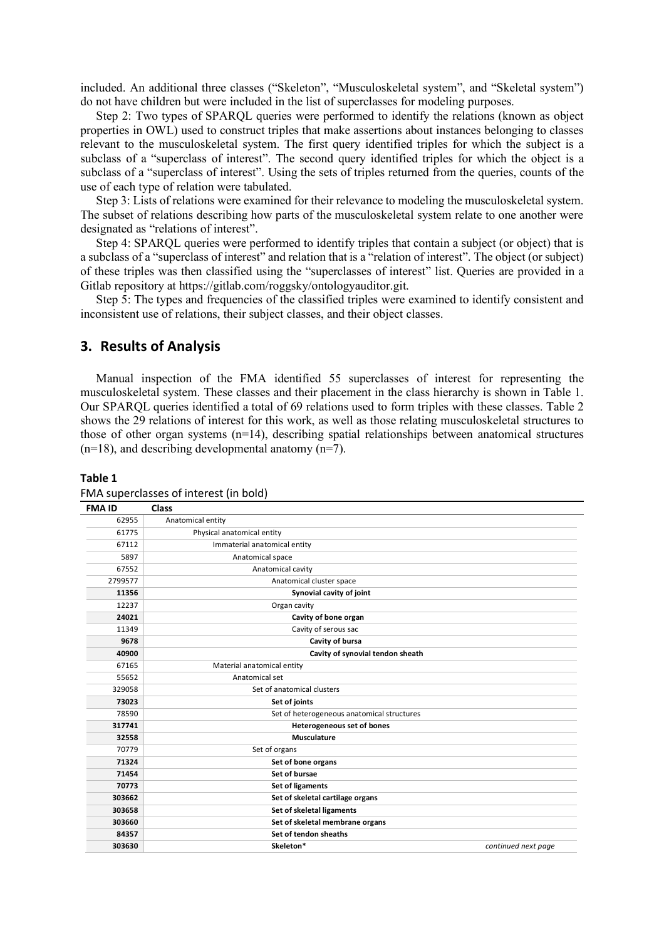included. An additional three classes ("Skeleton", "Musculoskeletal system", and "Skeletal system") do not have children but were included in the list of superclasses for modeling purposes.

Step 2: Two types of SPARQL queries were performed to identify the relations (known as object properties in OWL) used to construct triples that make assertions about instances belonging to classes relevant to the musculoskeletal system. The first query identified triples for which the subject is a subclass of a "superclass of interest". The second query identified triples for which the object is a subclass of a "superclass of interest". Using the sets of triples returned from the queries, counts of the use of each type of relation were tabulated.

Step 3: Lists of relations were examined for their relevance to modeling the musculoskeletal system. The subset of relations describing how parts of the musculoskeletal system relate to one another were designated as "relations of interest".

Step 4: SPARQL queries were performed to identify triples that contain a subject (or object) that is a subclass of a "superclass of interest" and relation that is a "relation of interest". The object (or subject) of these triples was then classified using the "superclasses of interest" list. Queries are provided in a Gitlab repository at https://gitlab.com/roggsky/ontologyauditor.git.

Step 5: The types and frequencies of the classified triples were examined to identify consistent and inconsistent use of relations, their subject classes, and their object classes.

### **3. Results of Analysis**

Manual inspection of the FMA identified 55 superclasses of interest for representing the musculoskeletal system. These classes and their placement in the class hierarchy is shown in Table 1. Our SPARQL queries identified a total of 69 relations used to form triples with these classes. Table 2 shows the 29 relations of interest for this work, as well as those relating musculoskeletal structures to those of other organ systems (n=14), describing spatial relationships between anatomical structures  $(n=18)$ , and describing developmental anatomy  $(n=7)$ .

#### **Table 1**

| <b>FMA ID</b> | Class                                      |                     |
|---------------|--------------------------------------------|---------------------|
| 62955         | Anatomical entity                          |                     |
| 61775         | Physical anatomical entity                 |                     |
| 67112         | Immaterial anatomical entity               |                     |
| 5897          | Anatomical space                           |                     |
| 67552         | Anatomical cavity                          |                     |
| 2799577       | Anatomical cluster space                   |                     |
| 11356         | Synovial cavity of joint                   |                     |
| 12237         | Organ cavity                               |                     |
| 24021         | Cavity of bone organ                       |                     |
| 11349         | Cavity of serous sac                       |                     |
| 9678          | Cavity of bursa                            |                     |
| 40900         | Cavity of synovial tendon sheath           |                     |
| 67165         | Material anatomical entity                 |                     |
| 55652         | Anatomical set                             |                     |
| 329058        | Set of anatomical clusters                 |                     |
| 73023         | Set of joints                              |                     |
| 78590         | Set of heterogeneous anatomical structures |                     |
| 317741        | <b>Heterogeneous set of bones</b>          |                     |
| 32558         | <b>Musculature</b>                         |                     |
| 70779         | Set of organs                              |                     |
| 71324         | Set of bone organs                         |                     |
| 71454         | Set of bursae                              |                     |
| 70773         | Set of ligaments                           |                     |
| 303662        | Set of skeletal cartilage organs           |                     |
| 303658        | Set of skeletal ligaments                  |                     |
| 303660        | Set of skeletal membrane organs            |                     |
| 84357         | Set of tendon sheaths                      |                     |
| 303630        | Skeleton*                                  | continued next page |

#### FMA superclasses of interest (in bold)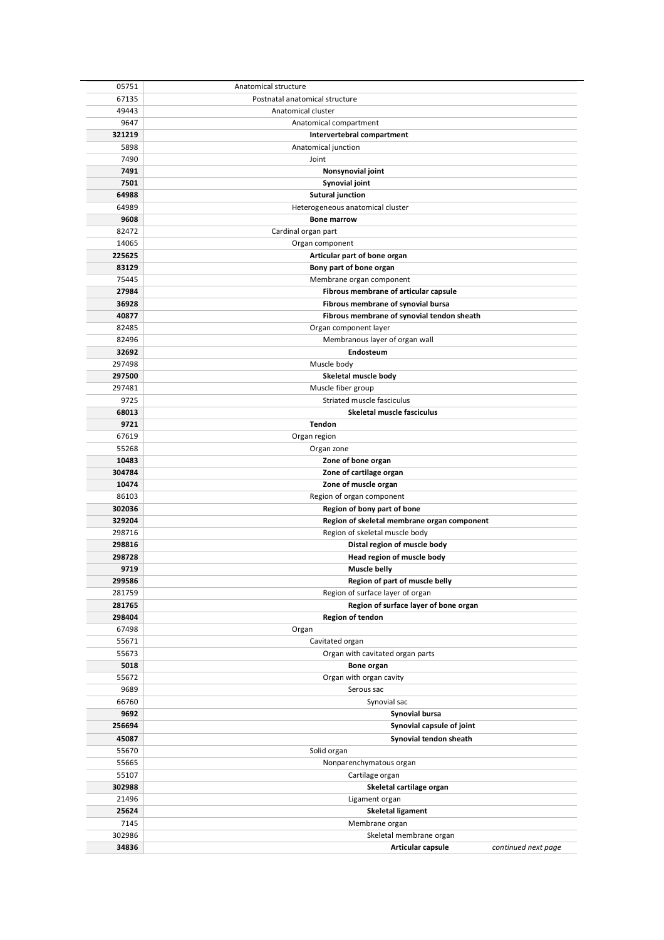| 05751  | Anatomical structure                        |                     |  |  |
|--------|---------------------------------------------|---------------------|--|--|
| 67135  | Postnatal anatomical structure              |                     |  |  |
| 49443  | Anatomical cluster                          |                     |  |  |
| 9647   | Anatomical compartment                      |                     |  |  |
| 321219 | Intervertebral compartment                  |                     |  |  |
| 5898   | Anatomical junction                         |                     |  |  |
| 7490   | Joint                                       |                     |  |  |
| 7491   | Nonsynovial joint                           |                     |  |  |
| 7501   | Synovial joint                              |                     |  |  |
| 64988  | <b>Sutural junction</b>                     |                     |  |  |
| 64989  | Heterogeneous anatomical cluster            |                     |  |  |
| 9608   | <b>Bone marrow</b>                          |                     |  |  |
| 82472  | Cardinal organ part                         |                     |  |  |
| 14065  |                                             |                     |  |  |
| 225625 | Organ component                             |                     |  |  |
| 83129  | Articular part of bone organ                |                     |  |  |
|        | Bony part of bone organ                     |                     |  |  |
| 75445  | Membrane organ component                    |                     |  |  |
| 27984  | Fibrous membrane of articular capsule       |                     |  |  |
| 36928  | Fibrous membrane of synovial bursa          |                     |  |  |
| 40877  | Fibrous membrane of synovial tendon sheath  |                     |  |  |
| 82485  | Organ component layer                       |                     |  |  |
| 82496  | Membranous layer of organ wall              |                     |  |  |
| 32692  | Endosteum                                   |                     |  |  |
| 297498 | Muscle body                                 |                     |  |  |
| 297500 | Skeletal muscle body                        |                     |  |  |
| 297481 | Muscle fiber group                          |                     |  |  |
| 9725   | Striated muscle fasciculus                  |                     |  |  |
| 68013  | Skeletal muscle fasciculus                  |                     |  |  |
| 9721   | Tendon                                      |                     |  |  |
| 67619  | Organ region                                |                     |  |  |
| 55268  | Organ zone                                  |                     |  |  |
| 10483  | Zone of bone organ                          |                     |  |  |
| 304784 | Zone of cartilage organ                     |                     |  |  |
| 10474  | Zone of muscle organ                        |                     |  |  |
| 86103  | Region of organ component                   |                     |  |  |
| 302036 | Region of bony part of bone                 |                     |  |  |
| 329204 | Region of skeletal membrane organ component |                     |  |  |
| 298716 | Region of skeletal muscle body              |                     |  |  |
| 298816 | Distal region of muscle body                |                     |  |  |
| 298728 | Head region of muscle body                  |                     |  |  |
| 9719   | Muscle belly                                |                     |  |  |
| 299586 | Region of part of muscle belly              |                     |  |  |
| 281759 | Region of surface layer of organ            |                     |  |  |
| 281765 | Region of surface layer of bone organ       |                     |  |  |
| 298404 | Region of tendon                            |                     |  |  |
| 67498  | Organ                                       |                     |  |  |
| 55671  | Cavitated organ                             |                     |  |  |
| 55673  | Organ with cavitated organ parts            |                     |  |  |
| 5018   | Bone organ                                  |                     |  |  |
| 55672  | Organ with organ cavity                     |                     |  |  |
| 9689   | Serous sac                                  |                     |  |  |
| 66760  | Synovial sac                                |                     |  |  |
| 9692   | Synovial bursa                              |                     |  |  |
| 256694 | Synovial capsule of joint                   |                     |  |  |
| 45087  | Synovial tendon sheath                      |                     |  |  |
| 55670  | Solid organ                                 |                     |  |  |
| 55665  | Nonparenchymatous organ                     |                     |  |  |
| 55107  | Cartilage organ                             |                     |  |  |
| 302988 | Skeletal cartilage organ                    |                     |  |  |
| 21496  | Ligament organ                              |                     |  |  |
| 25624  | <b>Skeletal ligament</b>                    |                     |  |  |
| 7145   | Membrane organ                              |                     |  |  |
| 302986 | Skeletal membrane organ                     |                     |  |  |
| 34836  | Articular capsule                           | continued next page |  |  |
|        |                                             |                     |  |  |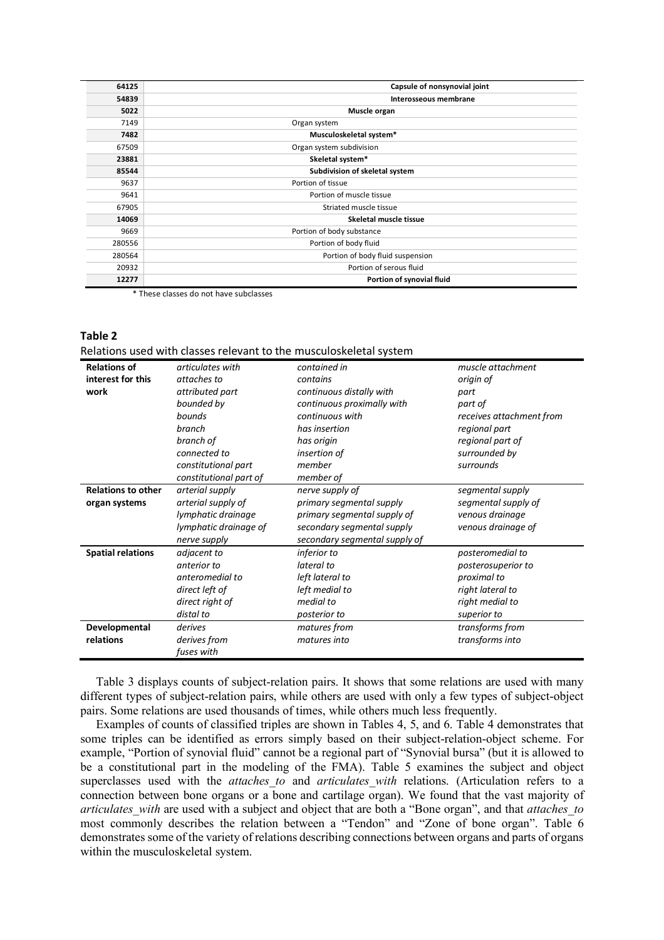| 64125  | Capsule of nonsynovial joint     |
|--------|----------------------------------|
| 54839  | Interosseous membrane            |
| 5022   | Muscle organ                     |
| 7149   | Organ system                     |
| 7482   | Musculoskeletal system*          |
| 67509  | Organ system subdivision         |
| 23881  | Skeletal system*                 |
| 85544  | Subdivision of skeletal system   |
| 9637   | Portion of tissue                |
| 9641   | Portion of muscle tissue         |
| 67905  | Striated muscle tissue           |
| 14069  | Skeletal muscle tissue           |
| 9669   | Portion of body substance        |
| 280556 | Portion of body fluid            |
| 280564 | Portion of body fluid suspension |
| 20932  | Portion of serous fluid          |
| 12277  | Portion of synovial fluid        |

\* These classes do not have subclasses

#### **Table 2**

| Relations used with classes relevant to the musculoskeletal system |
|--------------------------------------------------------------------|
|--------------------------------------------------------------------|

| <b>Relations of</b>       | articulates with       | contained in                  | muscle attachment        |  |  |
|---------------------------|------------------------|-------------------------------|--------------------------|--|--|
| interest for this         | attaches to            | contains                      | origin of                |  |  |
| work                      | attributed part        | continuous distally with      | part                     |  |  |
|                           | bounded by             | continuous proximally with    | part of                  |  |  |
|                           | bounds                 | continuous with               | receives attachment from |  |  |
|                           | branch                 | has insertion                 | regional part            |  |  |
|                           | branch of              | has origin                    | regional part of         |  |  |
|                           | connected to           | insertion of                  | surrounded by            |  |  |
|                           | constitutional part    | member                        | surrounds                |  |  |
|                           | constitutional part of | member of                     |                          |  |  |
| <b>Relations to other</b> | arterial supply        | nerve supply of               | segmental supply         |  |  |
| organ systems             | arterial supply of     | primary segmental supply      | segmental supply of      |  |  |
|                           | lymphatic drainage     | primary segmental supply of   | venous drainage          |  |  |
|                           | lymphatic drainage of  | secondary segmental supply    | venous drainage of       |  |  |
|                           | nerve supply           | secondary segmental supply of |                          |  |  |
| <b>Spatial relations</b>  | adjacent to            | <i>inferior</i> to            | posteromedial to         |  |  |
|                           | anterior to            | lateral to                    | posterosuperior to       |  |  |
|                           | anteromedial to        | left lateral to               | proximal to              |  |  |
|                           | direct left of         | left medial to                | right lateral to         |  |  |
|                           | direct right of        | medial to                     | right medial to          |  |  |
|                           | distal to              | posterior to                  | superior to              |  |  |
| Developmental             | derives                | matures from                  | transforms from          |  |  |
| relations                 | derives from           | matures into                  | transforms into          |  |  |
|                           | fuses with             |                               |                          |  |  |

Table 3 displays counts of subject-relation pairs. It shows that some relations are used with many different types of subject-relation pairs, while others are used with only a few types of subject-object pairs. Some relations are used thousands of times, while others much less frequently.

Examples of counts of classified triples are shown in Tables 4, 5, and 6. Table 4 demonstrates that some triples can be identified as errors simply based on their subject-relation-object scheme. For example, "Portion of synovial fluid" cannot be a regional part of "Synovial bursa" (but it is allowed to be a constitutional part in the modeling of the FMA). Table 5 examines the subject and object superclasses used with the *attaches to* and *articulates with* relations. (Articulation refers to a connection between bone organs or a bone and cartilage organ). We found that the vast majority of *articulates\_with* are used with a subject and object that are both a "Bone organ", and that *attaches\_to* most commonly describes the relation between a "Tendon" and "Zone of bone organ". Table 6 demonstrates some of the variety of relations describing connections between organs and parts of organs within the musculoskeletal system.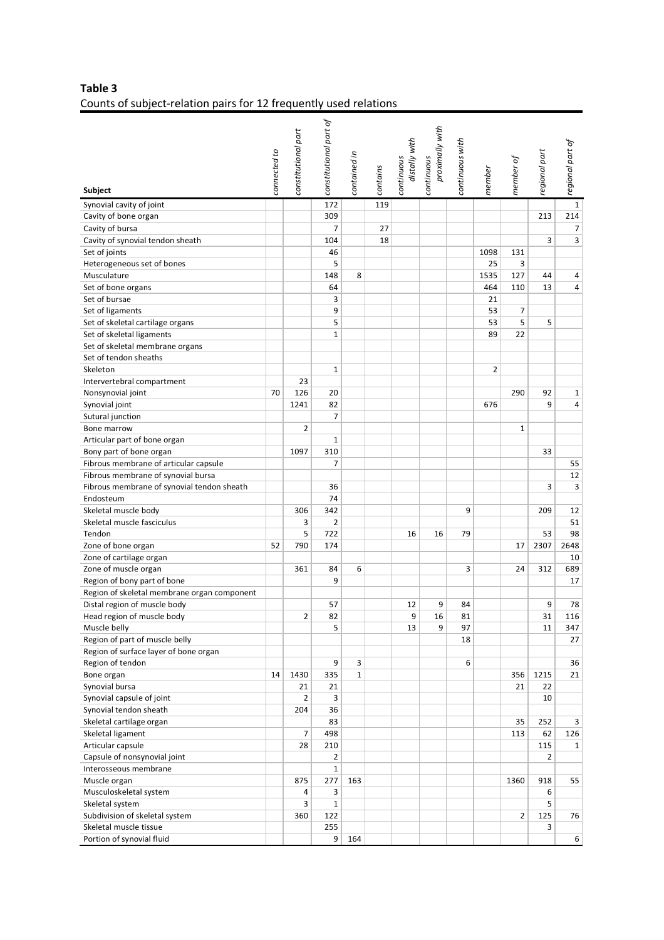## **Table 3** Counts of subject-relation pairs for 12 frequently used relations

| <b>Subject</b>                                  | connected to | constitutional part     | constitutional part of | contained in | contains | distally with<br>continuous | proximally with<br>continuous | continuous with | member | member of      | regional part | regional part of |
|-------------------------------------------------|--------------|-------------------------|------------------------|--------------|----------|-----------------------------|-------------------------------|-----------------|--------|----------------|---------------|------------------|
| Synovial cavity of joint                        |              |                         | 172                    |              | 119      |                             |                               |                 |        |                |               | $\mathbf{1}$     |
| Cavity of bone organ                            |              |                         | 309                    |              |          |                             |                               |                 |        |                | 213           | 214              |
| Cavity of bursa                                 |              |                         | $\overline{7}$         |              | 27       |                             |                               |                 |        |                |               | 7                |
| Cavity of synovial tendon sheath                |              |                         | 104                    |              | 18       |                             |                               |                 |        |                | 3             | 3                |
| Set of joints                                   |              |                         | 46                     |              |          |                             |                               |                 | 1098   | 131            |               |                  |
| Heterogeneous set of bones                      |              |                         | 5                      |              |          |                             |                               |                 | 25     | 3              |               |                  |
| Musculature                                     |              |                         | 148                    | 8            |          |                             |                               |                 | 1535   | 127            | 44            | 4                |
| Set of bone organs                              |              |                         | 64                     |              |          |                             |                               |                 | 464    | 110            | 13            | 4                |
| Set of bursae                                   |              |                         | 3                      |              |          |                             |                               |                 | 21     |                |               |                  |
| Set of ligaments                                |              |                         | 9                      |              |          |                             |                               |                 | 53     | 7              |               |                  |
| Set of skeletal cartilage organs                |              |                         | 5                      |              |          |                             |                               |                 | 53     | 5              | 5             |                  |
| Set of skeletal ligaments                       |              |                         | $\mathbf 1$            |              |          |                             |                               |                 | 89     | 22             |               |                  |
| Set of skeletal membrane organs                 |              |                         |                        |              |          |                             |                               |                 |        |                |               |                  |
| Set of tendon sheaths                           |              |                         |                        |              |          |                             |                               |                 |        |                |               |                  |
| Skeleton                                        |              |                         | $\mathbf{1}$           |              |          |                             |                               |                 | 2      |                |               |                  |
| Intervertebral compartment                      |              | 23                      |                        |              |          |                             |                               |                 |        |                |               |                  |
| Nonsynovial joint                               | 70           | 126                     | 20                     |              |          |                             |                               |                 |        | 290            | 92            | 1                |
| Synovial joint                                  |              | 1241                    | 82                     |              |          |                             |                               |                 | 676    |                | 9             | 4                |
| Sutural junction                                |              |                         | 7                      |              |          |                             |                               |                 |        |                |               |                  |
| Bone marrow                                     |              | $\overline{2}$          |                        |              |          |                             |                               |                 |        | $\mathbf{1}$   |               |                  |
| Articular part of bone organ                    |              |                         | $\mathbf{1}$           |              |          |                             |                               |                 |        |                |               |                  |
| Bony part of bone organ                         |              | 1097                    | 310                    |              |          |                             |                               |                 |        |                | 33            |                  |
| Fibrous membrane of articular capsule           |              |                         | 7                      |              |          |                             |                               |                 |        |                |               | 55               |
| Fibrous membrane of synovial bursa              |              |                         |                        |              |          |                             |                               |                 |        |                |               | 12               |
| Fibrous membrane of synovial tendon sheath      |              |                         | 36                     |              |          |                             |                               |                 |        |                | 3             | 3                |
| Endosteum                                       |              |                         | 74                     |              |          |                             |                               |                 |        |                |               |                  |
| Skeletal muscle body                            |              | 306                     | 342                    |              |          |                             |                               | 9               |        |                | 209           | 12               |
| Skeletal muscle fasciculus                      |              | 3                       | $\overline{2}$         |              |          |                             |                               |                 |        |                |               | 51               |
| Tendon                                          |              | 5                       | 722                    |              |          | 16                          | 16                            | 79              |        |                | 53            | 98               |
| Zone of bone organ                              | 52           | 790                     | 174                    |              |          |                             |                               |                 |        | 17             | 2307          | 2648             |
| Zone of cartilage organ<br>Zone of muscle organ |              | 361                     | 84                     | 6            |          |                             |                               | 3               |        | 24             | 312           | 10<br>689        |
| Region of bony part of bone                     |              |                         | 9                      |              |          |                             |                               |                 |        |                |               | 17               |
| Region of skeletal membrane organ component     |              |                         |                        |              |          |                             |                               |                 |        |                |               |                  |
| Distal region of muscle body                    |              |                         | 57                     |              |          | 12                          | 9                             | 84              |        |                | 9             | 78               |
| Head region of muscle body                      |              | $\overline{\mathbf{c}}$ | 82                     |              |          | 9                           | 16                            | 81              |        |                | 31            | 116              |
| Muscle belly                                    |              |                         | 5                      |              |          | 13                          | 9                             | 97              |        |                | 11            | 347              |
| Region of part of muscle belly                  |              |                         |                        |              |          |                             |                               | 18              |        |                |               | 27               |
| Region of surface layer of bone organ           |              |                         |                        |              |          |                             |                               |                 |        |                |               |                  |
| Region of tendon                                |              |                         | 9                      | 3            |          |                             |                               | 6               |        |                |               | 36               |
| Bone organ                                      | 14           | 1430                    | 335                    | 1            |          |                             |                               |                 |        | 356            | 1215          | 21               |
| Synovial bursa                                  |              | 21                      | 21                     |              |          |                             |                               |                 |        | 21             | 22            |                  |
| Synovial capsule of joint                       |              | $\overline{2}$          | 3                      |              |          |                             |                               |                 |        |                | 10            |                  |
| Synovial tendon sheath                          |              | 204                     | 36                     |              |          |                             |                               |                 |        |                |               |                  |
| Skeletal cartilage organ                        |              |                         | 83                     |              |          |                             |                               |                 |        | 35             | 252           | 3                |
| Skeletal ligament                               |              | $\overline{7}$          | 498                    |              |          |                             |                               |                 |        | 113            | 62            | 126              |
| Articular capsule                               |              | 28                      | 210                    |              |          |                             |                               |                 |        |                | 115           | 1                |
| Capsule of nonsynovial joint                    |              |                         | $\overline{2}$         |              |          |                             |                               |                 |        |                | 2             |                  |
| Interosseous membrane                           |              |                         | $\mathbf{1}$           |              |          |                             |                               |                 |        |                |               |                  |
| Muscle organ                                    |              | 875                     | 277                    | 163          |          |                             |                               |                 |        | 1360           | 918           | 55               |
| Musculoskeletal system                          |              | 4                       | 3                      |              |          |                             |                               |                 |        |                | 6             |                  |
| Skeletal system                                 |              | 3                       | $\mathbf 1$            |              |          |                             |                               |                 |        |                | 5             |                  |
| Subdivision of skeletal system                  |              | 360                     | 122                    |              |          |                             |                               |                 |        | $\overline{2}$ | 125           | 76               |
| Skeletal muscle tissue                          |              |                         | 255                    |              |          |                             |                               |                 |        |                | 3             |                  |
| Portion of synovial fluid                       |              |                         | 9 <sup>1</sup>         | 164          |          |                             |                               |                 |        |                |               | 6                |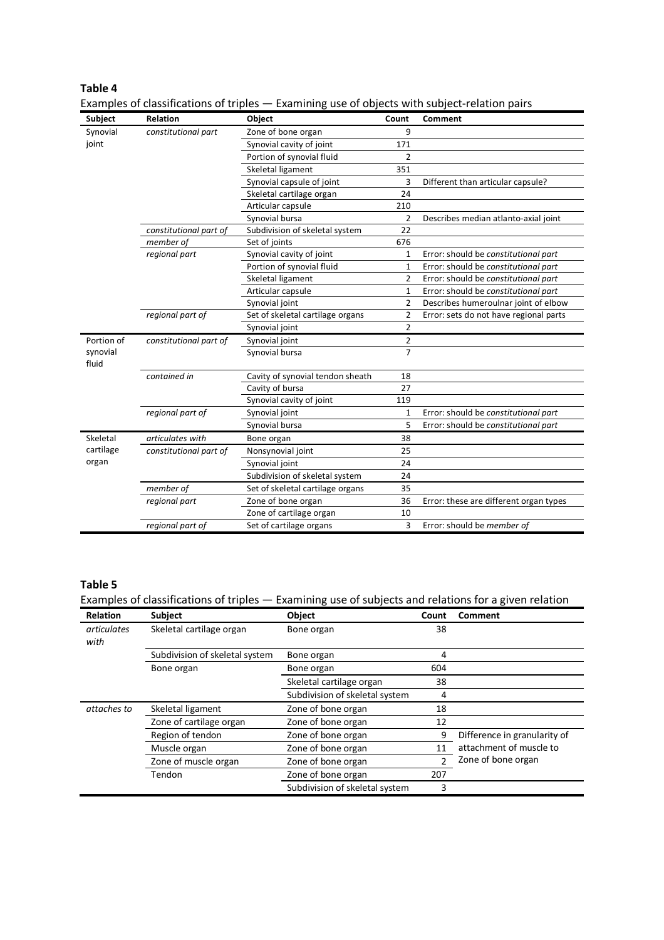| Subject           | Relation               | Object                           | Count          | Comment                                |
|-------------------|------------------------|----------------------------------|----------------|----------------------------------------|
| Synovial          | constitutional part    | Zone of bone organ               | 9              |                                        |
| joint             |                        | Synovial cavity of joint         | 171            |                                        |
|                   |                        | Portion of synovial fluid        | $\overline{2}$ |                                        |
|                   |                        | Skeletal ligament                | 351            |                                        |
|                   |                        | Synovial capsule of joint        | 3              | Different than articular capsule?      |
|                   |                        | Skeletal cartilage organ         | 24             |                                        |
|                   |                        | Articular capsule                | 210            |                                        |
|                   |                        | Synovial bursa                   | $\overline{2}$ | Describes median atlanto-axial joint   |
|                   | constitutional part of | Subdivision of skeletal system   | 22             |                                        |
|                   | member of              | Set of joints                    | 676            |                                        |
|                   | regional part          | Synovial cavity of joint         | 1              | Error: should be constitutional part   |
|                   |                        | Portion of synovial fluid        | 1              | Error: should be constitutional part   |
|                   |                        | Skeletal ligament                | 2              | Error: should be constitutional part   |
|                   |                        | Articular capsule                | 1              | Error: should be constitutional part   |
|                   |                        | Synovial joint                   | 2              | Describes humeroulnar joint of elbow   |
|                   | regional part of       | Set of skeletal cartilage organs | $\overline{2}$ | Error: sets do not have regional parts |
|                   |                        | Synovial joint                   | $\overline{2}$ |                                        |
| Portion of        | constitutional part of | Synovial joint                   | 2              |                                        |
| synovial<br>fluid |                        | Synovial bursa                   | $\overline{7}$ |                                        |
|                   | contained in           | Cavity of synovial tendon sheath | 18             |                                        |
|                   |                        | Cavity of bursa                  | 27             |                                        |
|                   |                        | Synovial cavity of joint         | 119            |                                        |
|                   | regional part of       | Synovial joint                   | 1              | Error: should be constitutional part   |
|                   |                        | Synovial bursa                   | 5              | Error: should be constitutional part   |
| Skeletal          | articulates with       | Bone organ                       | 38             |                                        |
| cartilage         | constitutional part of | Nonsynovial joint                | 25             |                                        |
| organ             |                        | Synovial joint                   | 24             |                                        |
|                   |                        | Subdivision of skeletal system   | 24             |                                        |
|                   | member of              | Set of skeletal cartilage organs | 35             |                                        |
|                   | regional part          | Zone of bone organ               | 36             | Error: these are different organ types |
|                   |                        | Zone of cartilage organ          | 10             |                                        |
|                   | regional part of       | Set of cartilage organs          | 3              | Error: should be member of             |

Examples of classifications of triples — Examining use of objects with subject-relation pairs

## **Table 5**

**Table 4**

Examples of classifications of triples — Examining use of subjects and relations for a given relation

| <b>Relation</b>     | <b>Subject</b>                 | Object                         | Count         | Comment                      |
|---------------------|--------------------------------|--------------------------------|---------------|------------------------------|
| articulates<br>with | Skeletal cartilage organ       | Bone organ                     | 38            |                              |
|                     | Subdivision of skeletal system | Bone organ                     | 4             |                              |
|                     | Bone organ                     | Bone organ                     | 604           |                              |
|                     |                                | Skeletal cartilage organ       | 38            |                              |
|                     |                                | Subdivision of skeletal system | 4             |                              |
| attaches to         | Skeletal ligament              | Zone of bone organ             | 18            |                              |
|                     | Zone of cartilage organ        | Zone of bone organ             | 12            |                              |
|                     | Region of tendon               | Zone of bone organ             | 9             | Difference in granularity of |
|                     | Muscle organ                   | Zone of bone organ             | 11            | attachment of muscle to      |
|                     | Zone of muscle organ           | Zone of bone organ             | $\mathcal{P}$ | Zone of bone organ           |
|                     | Tendon                         | Zone of bone organ             | 207           |                              |
|                     |                                | Subdivision of skeletal system | 3             |                              |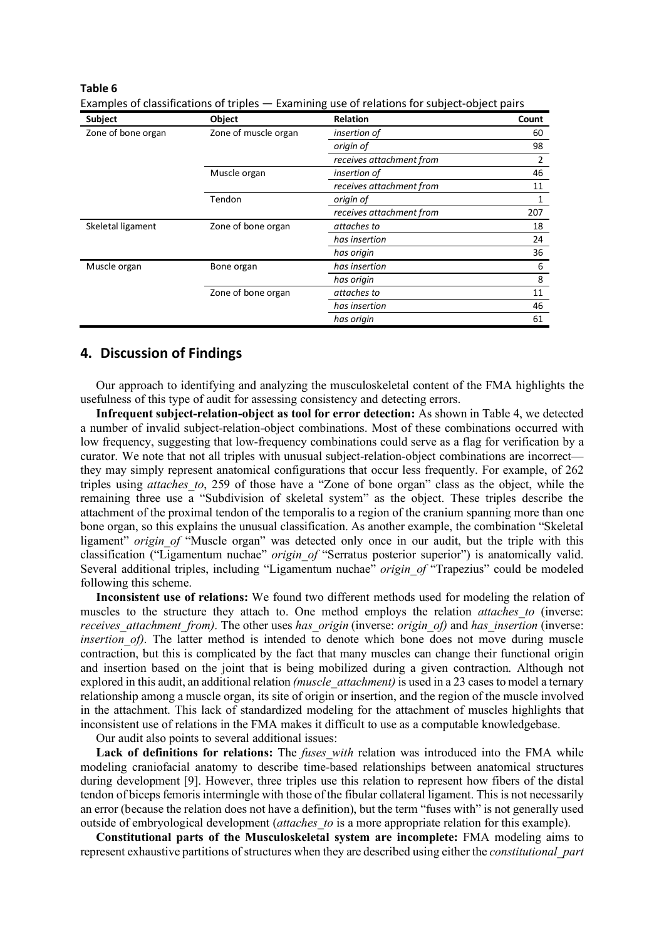#### **Table 6**

| <b>Subject</b>     | Object                            | <b>Relation</b>          | Count |
|--------------------|-----------------------------------|--------------------------|-------|
| Zone of bone organ | Zone of muscle organ              | insertion of             | 60    |
|                    |                                   | origin of                | 98    |
|                    |                                   | receives attachment from | 2     |
|                    | Muscle organ                      | insertion of             | 46    |
|                    |                                   | receives attachment from | 11    |
|                    | Tendon                            | origin of                | 1     |
|                    |                                   | receives attachment from | 207   |
| Skeletal ligament  | Zone of bone organ<br>attaches to |                          | 18    |
|                    |                                   | has insertion            | 24    |
|                    |                                   | has origin               | 36    |
| Muscle organ       | Bone organ                        | has insertion            | 6     |
|                    |                                   | has origin               | 8     |
|                    | Zone of bone organ                | attaches to              | 11    |
|                    |                                   | has insertion            | 46    |
|                    |                                   | has origin               | 61    |

Examples of classifications of triples — Examining use of relations for subject-object pairs

## **4. Discussion of Findings**

Our approach to identifying and analyzing the musculoskeletal content of the FMA highlights the usefulness of this type of audit for assessing consistency and detecting errors.

**Infrequent subject-relation-object as tool for error detection:** As shown in Table 4, we detected a number of invalid subject-relation-object combinations. Most of these combinations occurred with low frequency, suggesting that low-frequency combinations could serve as a flag for verification by a curator. We note that not all triples with unusual subject-relation-object combinations are incorrect they may simply represent anatomical configurations that occur less frequently. For example, of 262 triples using *attaches\_to*, 259 of those have a "Zone of bone organ" class as the object, while the remaining three use a "Subdivision of skeletal system" as the object. These triples describe the attachment of the proximal tendon of the temporalis to a region of the cranium spanning more than one bone organ, so this explains the unusual classification. As another example, the combination "Skeletal ligament" *origin of* "Muscle organ" was detected only once in our audit, but the triple with this classification ("Ligamentum nuchae" *origin\_of* "Serratus posterior superior") is anatomically valid. Several additional triples, including "Ligamentum nuchae" *origin of* "Trapezius" could be modeled following this scheme.

**Inconsistent use of relations:** We found two different methods used for modeling the relation of muscles to the structure they attach to. One method employs the relation *attaches to* (inverse: *receives\_attachment\_from)*. The other uses *has\_origin* (inverse: *origin\_of)* and *has\_insertion* (inverse: *insertion of)*. The latter method is intended to denote which bone does not move during muscle contraction, but this is complicated by the fact that many muscles can change their functional origin and insertion based on the joint that is being mobilized during a given contraction. Although not explored in this audit, an additional relation *(muscle\_attachment)* is used in a 23 cases to model a ternary relationship among a muscle organ, its site of origin or insertion, and the region of the muscle involved in the attachment. This lack of standardized modeling for the attachment of muscles highlights that inconsistent use of relations in the FMA makes it difficult to use as a computable knowledgebase.

Our audit also points to several additional issues:

Lack of definitions for relations: The *fuses with* relation was introduced into the FMA while modeling craniofacial anatomy to describe time-based relationships between anatomical structures during development [9]. However, three triples use this relation to represent how fibers of the distal tendon of biceps femoris intermingle with those of the fibular collateral ligament. This is not necessarily an error (because the relation does not have a definition), but the term "fuses with" is not generally used outside of embryological development (*attaches\_to* is a more appropriate relation for this example).

**Constitutional parts of the Musculoskeletal system are incomplete:** FMA modeling aims to represent exhaustive partitions of structures when they are described using either the *constitutional\_part*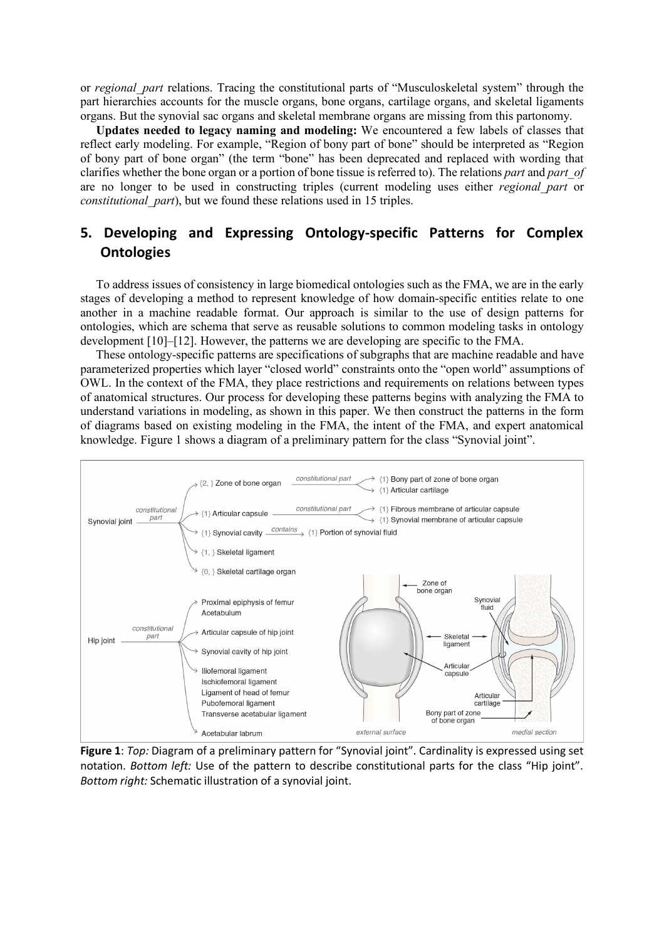or *regional\_part* relations. Tracing the constitutional parts of "Musculoskeletal system" through the part hierarchies accounts for the muscle organs, bone organs, cartilage organs, and skeletal ligaments organs. But the synovial sac organs and skeletal membrane organs are missing from this partonomy.

**Updates needed to legacy naming and modeling:** We encountered a few labels of classes that reflect early modeling. For example, "Region of bony part of bone" should be interpreted as "Region of bony part of bone organ" (the term "bone" has been deprecated and replaced with wording that clarifies whether the bone organ or a portion of bone tissue is referred to). The relations *part* and *part\_of* are no longer to be used in constructing triples (current modeling uses either *regional\_part* or *constitutional\_part*), but we found these relations used in 15 triples.

## **5. Developing and Expressing Ontology-specific Patterns for Complex Ontologies**

To address issues of consistency in large biomedical ontologies such as the FMA, we are in the early stages of developing a method to represent knowledge of how domain-specific entities relate to one another in a machine readable format. Our approach is similar to the use of design patterns for ontologies, which are schema that serve as reusable solutions to common modeling tasks in ontology development [10]–[12]. However, the patterns we are developing are specific to the FMA.

These ontology-specific patterns are specifications of subgraphs that are machine readable and have parameterized properties which layer "closed world" constraints onto the "open world" assumptions of OWL. In the context of the FMA, they place restrictions and requirements on relations between types of anatomical structures. Our process for developing these patterns begins with analyzing the FMA to understand variations in modeling, as shown in this paper. We then construct the patterns in the form of diagrams based on existing modeling in the FMA, the intent of the FMA, and expert anatomical knowledge. Figure 1 shows a diagram of a preliminary pattern for the class "Synovial joint".



**Figure 1**: *Top:* Diagram of a preliminary pattern for "Synovial joint". Cardinality is expressed using set notation. *Bottom left:* Use of the pattern to describe constitutional parts for the class "Hip joint". *Bottom right:* Schematic illustration of a synovial joint.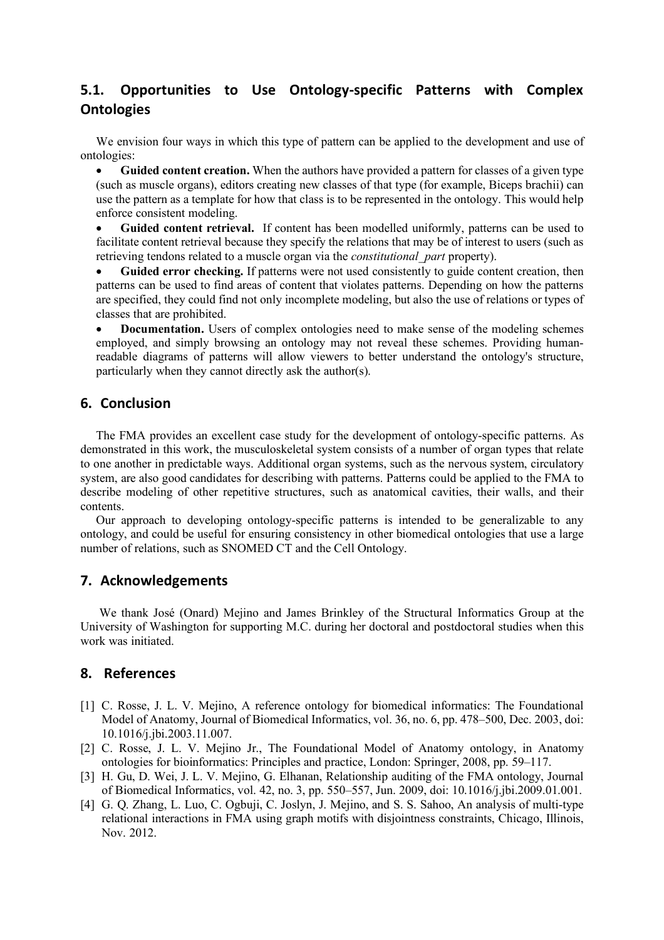## **5.1. Opportunities to Use Ontology-specific Patterns with Complex Ontologies**

We envision four ways in which this type of pattern can be applied to the development and use of ontologies:

• **Guided content creation.** When the authors have provided a pattern for classes of a given type (such as muscle organs), editors creating new classes of that type (for example, Biceps brachii) can use the pattern as a template for how that class is to be represented in the ontology. This would help enforce consistent modeling.

• **Guided content retrieval.** If content has been modelled uniformly, patterns can be used to facilitate content retrieval because they specify the relations that may be of interest to users (such as retrieving tendons related to a muscle organ via the *constitutional\_part* property).

• **Guided error checking.** If patterns were not used consistently to guide content creation, then patterns can be used to find areas of content that violates patterns. Depending on how the patterns are specified, they could find not only incomplete modeling, but also the use of relations or types of classes that are prohibited.

**Documentation.** Users of complex ontologies need to make sense of the modeling schemes employed, and simply browsing an ontology may not reveal these schemes. Providing humanreadable diagrams of patterns will allow viewers to better understand the ontology's structure, particularly when they cannot directly ask the author(s).

## **6. Conclusion**

The FMA provides an excellent case study for the development of ontology-specific patterns. As demonstrated in this work, the musculoskeletal system consists of a number of organ types that relate to one another in predictable ways. Additional organ systems, such as the nervous system, circulatory system, are also good candidates for describing with patterns. Patterns could be applied to the FMA to describe modeling of other repetitive structures, such as anatomical cavities, their walls, and their contents.

Our approach to developing ontology-specific patterns is intended to be generalizable to any ontology, and could be useful for ensuring consistency in other biomedical ontologies that use a large number of relations, such as SNOMED CT and the Cell Ontology.

## **7. Acknowledgements**

We thank José (Onard) Mejino and James Brinkley of the Structural Informatics Group at the University of Washington for supporting M.C. during her doctoral and postdoctoral studies when this work was initiated.

## **8. References**

- [1] C. Rosse, J. L. V. Mejino, A reference ontology for biomedical informatics: The Foundational Model of Anatomy, Journal of Biomedical Informatics, vol. 36, no. 6, pp. 478–500, Dec. 2003, doi: 10.1016/j.jbi.2003.11.007.
- [2] C. Rosse, J. L. V. Mejino Jr., The Foundational Model of Anatomy ontology, in Anatomy ontologies for bioinformatics: Principles and practice, London: Springer, 2008, pp. 59–117.
- [3] H. Gu, D. Wei, J. L. V. Mejino, G. Elhanan, Relationship auditing of the FMA ontology, Journal of Biomedical Informatics, vol. 42, no. 3, pp. 550–557, Jun. 2009, doi: 10.1016/j.jbi.2009.01.001.
- [4] G. Q. Zhang, L. Luo, C. Ogbuji, C. Joslyn, J. Mejino, and S. S. Sahoo, An analysis of multi-type relational interactions in FMA using graph motifs with disjointness constraints, Chicago, Illinois, Nov. 2012.